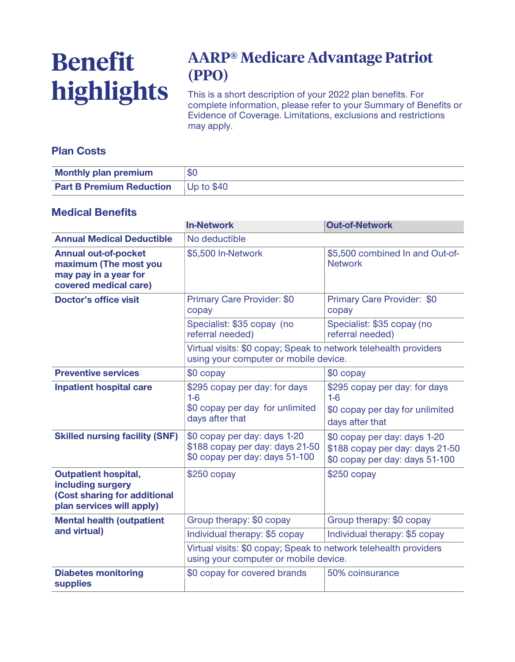# **Benefit highlights**

# **AARP® Medicare Advantage Patriot (PPO)**

**This is a short description of your 2022 plan benefits. For complete information, please refer to your Summary of Benefits or Evidence of Coverage. Limitations, exclusions and restrictions may apply.**

### **Plan Costs**

| <b>Monthly plan premium</b>                | \$C |
|--------------------------------------------|-----|
| <b>Part B Premium Reduction</b> Up to \$40 |     |

#### **Medical Benefits**

|                                                                                                               | <b>In-Network</b>                                                                                         | <b>Out-of-Network</b>                                                                             |  |
|---------------------------------------------------------------------------------------------------------------|-----------------------------------------------------------------------------------------------------------|---------------------------------------------------------------------------------------------------|--|
| <b>Annual Medical Deductible</b>                                                                              | No deductible                                                                                             |                                                                                                   |  |
| <b>Annual out-of-pocket</b><br>maximum (The most you<br>may pay in a year for<br>covered medical care)        | \$5,500 In-Network                                                                                        | \$5,500 combined In and Out-of-<br><b>Network</b>                                                 |  |
| <b>Doctor's office visit</b>                                                                                  | Primary Care Provider: \$0<br>copay                                                                       | Primary Care Provider: \$0<br>copay                                                               |  |
|                                                                                                               | Specialist: \$35 copay (no<br>referral needed)                                                            | Specialist: \$35 copay (no<br>referral needed)                                                    |  |
|                                                                                                               | Virtual visits: \$0 copay; Speak to network telehealth providers<br>using your computer or mobile device. |                                                                                                   |  |
| <b>Preventive services</b>                                                                                    | \$0 copay                                                                                                 | $$0$ copay                                                                                        |  |
| <b>Inpatient hospital care</b>                                                                                | \$295 copay per day: for days<br>$1-6$                                                                    | \$295 copay per day: for days<br>$1-6$                                                            |  |
|                                                                                                               | \$0 copay per day for unlimited<br>days after that                                                        | \$0 copay per day for unlimited<br>days after that                                                |  |
| <b>Skilled nursing facility (SNF)</b>                                                                         | \$0 copay per day: days 1-20<br>\$188 copay per day: days 21-50<br>\$0 copay per day: days 51-100         | \$0 copay per day: days 1-20<br>\$188 copay per day: days 21-50<br>\$0 copay per day: days 51-100 |  |
| <b>Outpatient hospital,</b><br>including surgery<br>(Cost sharing for additional<br>plan services will apply) | $$250$ copay                                                                                              | $$250$ copay                                                                                      |  |
| <b>Mental health (outpatient</b><br>and virtual)                                                              | Group therapy: \$0 copay                                                                                  | Group therapy: \$0 copay                                                                          |  |
|                                                                                                               | Individual therapy: \$5 copay                                                                             | Individual therapy: \$5 copay                                                                     |  |
|                                                                                                               | Virtual visits: \$0 copay; Speak to network telehealth providers<br>using your computer or mobile device. |                                                                                                   |  |
| <b>Diabetes monitoring</b><br><b>supplies</b>                                                                 | \$0 copay for covered brands                                                                              | 50% coinsurance                                                                                   |  |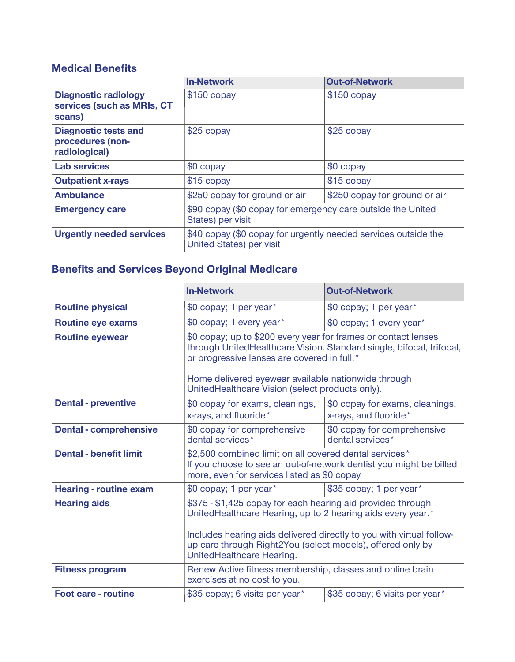## **Medical Benefits**

|                                                                     | <b>In-Network</b>                                                                                 | <b>Out-of-Network</b>         |
|---------------------------------------------------------------------|---------------------------------------------------------------------------------------------------|-------------------------------|
| <b>Diagnostic radiology</b><br>services (such as MRIs, CT<br>scans) | $$150$ copay                                                                                      | $$150$ copay                  |
| <b>Diagnostic tests and</b><br>procedures (non-<br>radiological)    | \$25 copay                                                                                        | \$25 copay                    |
| <b>Lab services</b>                                                 | \$0 copay                                                                                         | \$0 copay                     |
| <b>Outpatient x-rays</b>                                            | $$15$ copay                                                                                       | $$15$ copay                   |
| <b>Ambulance</b>                                                    | \$250 copay for ground or air                                                                     | \$250 copay for ground or air |
| <b>Emergency care</b>                                               | \$90 copay (\$0 copay for emergency care outside the United<br>States) per visit                  |                               |
| <b>Urgently needed services</b>                                     | \$40 copay (\$0 copay for urgently needed services outside the<br><b>United States) per visit</b> |                               |

## **Benefits and Services Beyond Original Medicare**

|                               | <b>In-Network</b>                                                                                                                                                                                  | <b>Out-of-Network</b>                                    |
|-------------------------------|----------------------------------------------------------------------------------------------------------------------------------------------------------------------------------------------------|----------------------------------------------------------|
| <b>Routine physical</b>       | \$0 copay; 1 per year*                                                                                                                                                                             | \$0 copay; 1 per year*                                   |
| <b>Routine eye exams</b>      | \$0 copay; 1 every year*                                                                                                                                                                           | \$0 copay; 1 every year*                                 |
| <b>Routine eyewear</b>        | \$0 copay; up to \$200 every year for frames or contact lenses<br>through UnitedHealthcare Vision. Standard single, bifocal, trifocal,<br>or progressive lenses are covered in full.*              |                                                          |
|                               | Home delivered eyewear available nationwide through<br>UnitedHealthcare Vision (select products only).                                                                                             |                                                          |
| <b>Dental - preventive</b>    | \$0 copay for exams, cleanings,<br>x-rays, and fluoride*                                                                                                                                           | \$0 copay for exams, cleanings,<br>x-rays, and fluoride* |
| <b>Dental - comprehensive</b> | \$0 copay for comprehensive<br>dental services*                                                                                                                                                    | \$0 copay for comprehensive<br>dental services*          |
| <b>Dental - benefit limit</b> | \$2,500 combined limit on all covered dental services*<br>If you choose to see an out-of-network dentist you might be billed<br>more, even for services listed as \$0 copay                        |                                                          |
| <b>Hearing - routine exam</b> | \$0 copay; 1 per year*                                                                                                                                                                             | \$35 copay; 1 per year*                                  |
| <b>Hearing aids</b>           | \$375 - \$1,425 copay for each hearing aid provided through<br>UnitedHealthcare Hearing, up to 2 hearing aids every year.*<br>Includes hearing aids delivered directly to you with virtual follow- |                                                          |
|                               | up care through Right2You (select models), offered only by<br>UnitedHealthcare Hearing.                                                                                                            |                                                          |
| <b>Fitness program</b>        | Renew Active fitness membership, classes and online brain<br>exercises at no cost to you.                                                                                                          |                                                          |
| <b>Foot care - routine</b>    | \$35 copay; 6 visits per year*                                                                                                                                                                     | \$35 copay; 6 visits per year*                           |